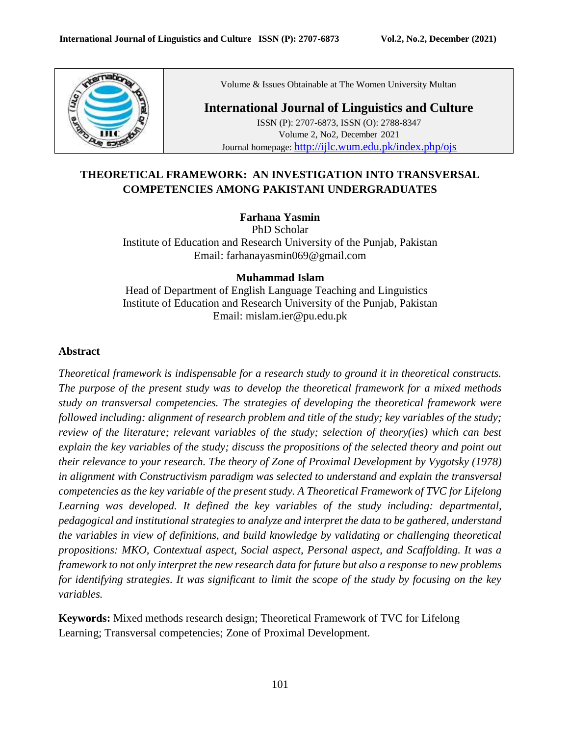

Volume & Issues Obtainable at The Women University Multan

### **International Journal of Linguistics and Culture** ISSN (P): 2707-6873, ISSN (O): 2788-8347 Volume 2, No2, December 2021 Journal homepage: <http://ijlc.wum.edu.pk/index.php/ojs>

# **THEORETICAL FRAMEWORK: AN INVESTIGATION INTO TRANSVERSAL COMPETENCIES AMONG PAKISTANI UNDERGRADUATES**

### **Farhana Yasmin**

PhD Scholar Institute of Education and Research University of the Punjab, Pakistan Email: farhanayasmin069@gmail.com

### **Muhammad Islam**

Head of Department of English Language Teaching and Linguistics Institute of Education and Research University of the Punjab, Pakistan Email: mislam.ier@pu.edu.pk

#### **Abstract**

*Theoretical framework is indispensable for a research study to ground it in theoretical constructs. The purpose of the present study was to develop the theoretical framework for a mixed methods study on transversal competencies. The strategies of developing the theoretical framework were followed including: alignment of research problem and title of the study; key variables of the study; review of the literature; relevant variables of the study; selection of theory(ies) which can best explain the key variables of the study; discuss the propositions of the selected theory and point out their relevance to your research. The theory of Zone of Proximal Development by Vygotsky (1978) in alignment with Constructivism paradigm was selected to understand and explain the transversal competencies as the key variable of the present study. A Theoretical Framework of TVC for Lifelong*  Learning was developed. It defined the key variables of the study including: departmental, *pedagogical and institutional strategies to analyze and interpret the data to be gathered, understand the variables in view of definitions, and build knowledge by validating or challenging theoretical propositions: MKO, Contextual aspect, Social aspect, Personal aspect, and Scaffolding. It was a framework to not only interpret the new research data for future but also a response to new problems for identifying strategies. It was significant to limit the scope of the study by focusing on the key variables.* 

**Keywords:** Mixed methods research design; Theoretical Framework of TVC for Lifelong Learning; Transversal competencies; Zone of Proximal Development*.*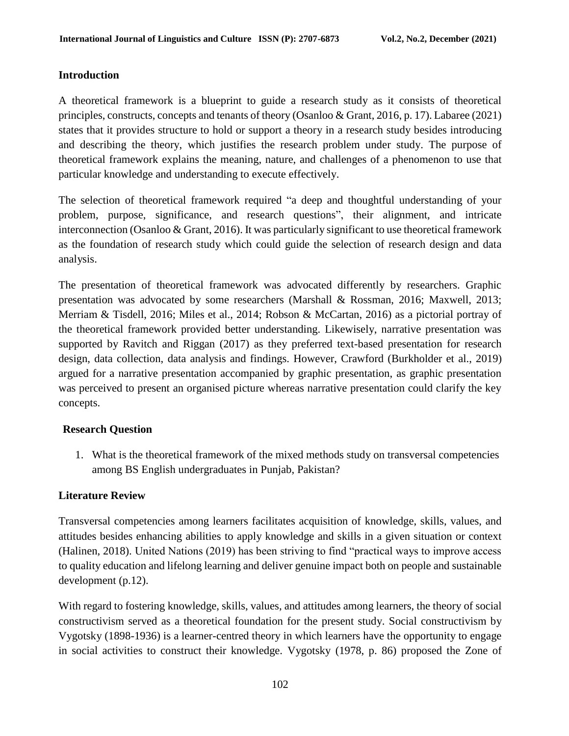## **Introduction**

A theoretical framework is a blueprint to guide a research study as it consists of theoretical principles, constructs, concepts and tenants of theory (Osanloo & Grant, 2016, p. 17). Labaree (2021) states that it provides structure to hold or support a theory in a research study besides introducing and describing the theory, which justifies the research problem under study. The purpose of theoretical framework explains the meaning, nature, and challenges of a phenomenon to use that particular knowledge and understanding to execute effectively.

The selection of theoretical framework required "a deep and thoughtful understanding of your problem, purpose, significance, and research questions", their alignment, and intricate interconnection (Osanloo & Grant, 2016). It was particularly significant to use theoretical framework as the foundation of research study which could guide the selection of research design and data analysis.

The presentation of theoretical framework was advocated differently by researchers. Graphic presentation was advocated by some researchers (Marshall & Rossman, 2016; Maxwell, 2013; Merriam & Tisdell, 2016; Miles et al., 2014; Robson & McCartan, 2016) as a pictorial portray of the theoretical framework provided better understanding. Likewisely, narrative presentation was supported by Ravitch and Riggan (2017) as they preferred text-based presentation for research design, data collection, data analysis and findings. However, Crawford (Burkholder et al., 2019) argued for a narrative presentation accompanied by graphic presentation, as graphic presentation was perceived to present an organised picture whereas narrative presentation could clarify the key concepts.

## **Research Question**

1. What is the theoretical framework of the mixed methods study on transversal competencies among BS English undergraduates in Punjab, Pakistan?

## **Literature Review**

Transversal competencies among learners facilitates acquisition of knowledge, skills, values, and attitudes besides enhancing abilities to apply knowledge and skills in a given situation or context (Halinen, 2018). United Nations (2019) has been striving to find "practical ways to improve access to quality education and lifelong learning and deliver genuine impact both on people and sustainable development (p.12).

With regard to fostering knowledge, skills, values, and attitudes among learners, the theory of social constructivism served as a theoretical foundation for the present study. Social constructivism by Vygotsky (1898-1936) is a learner-centred theory in which learners have the opportunity to engage in social activities to construct their knowledge. Vygotsky (1978, p. 86) proposed the Zone of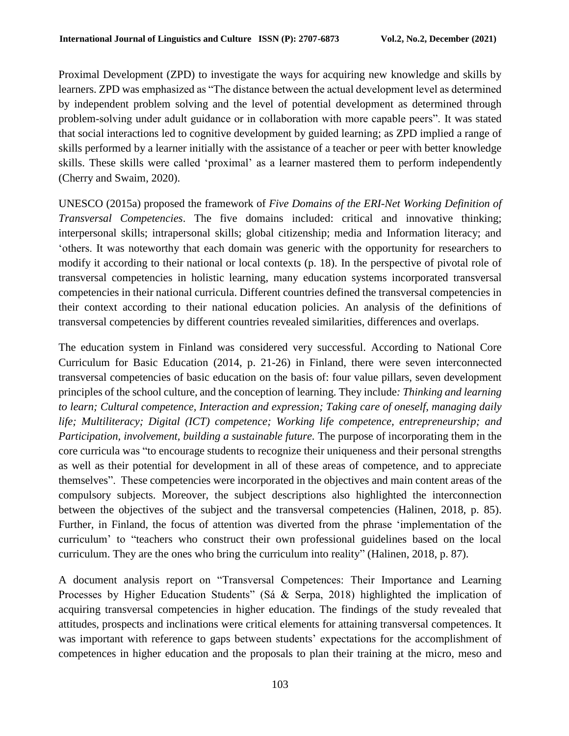Proximal Development (ZPD) to investigate the ways for acquiring new knowledge and skills by learners. ZPD was emphasized as "The distance between the actual development level as determined by independent problem solving and the level of potential development as determined through problem-solving under adult guidance or in collaboration with more capable peers". It was stated that social interactions led to cognitive development by guided learning; as ZPD implied a range of skills performed by a learner initially with the assistance of a teacher or peer with better knowledge skills. These skills were called 'proximal' as a learner mastered them to perform independently (Cherry and Swaim, 2020).

UNESCO (2015a) proposed the framework of *Five Domains of the ERI-Net Working Definition of Transversal Competencies*. The five domains included: critical and innovative thinking; interpersonal skills; intrapersonal skills; global citizenship; media and Information literacy; and 'others. It was noteworthy that each domain was generic with the opportunity for researchers to modify it according to their national or local contexts (p. 18). In the perspective of pivotal role of transversal competencies in holistic learning, many education systems incorporated transversal competencies in their national curricula. Different countries defined the transversal competencies in their context according to their national education policies. An analysis of the definitions of transversal competencies by different countries revealed similarities, differences and overlaps.

The education system in Finland was considered very successful. According to National Core Curriculum for Basic Education (2014, p. 21-26) in Finland, there were seven interconnected transversal competencies of basic education on the basis of: four value pillars, seven development principles of the school culture, and the conception of learning. They include*: Thinking and learning to learn; Cultural competence, Interaction and expression; Taking care of oneself, managing daily life; Multiliteracy; Digital (ICT) competence; Working life competence, entrepreneurship; and Participation, involvement, building a sustainable future.* The purpose of incorporating them in the core curricula was "to encourage students to recognize their uniqueness and their personal strengths as well as their potential for development in all of these areas of competence, and to appreciate themselves". These competencies were incorporated in the objectives and main content areas of the compulsory subjects. Moreover, the subject descriptions also highlighted the interconnection between the objectives of the subject and the transversal competencies (Halinen, 2018, p. 85). Further, in Finland, the focus of attention was diverted from the phrase 'implementation of the curriculum' to "teachers who construct their own professional guidelines based on the local curriculum. They are the ones who bring the curriculum into reality" (Halinen, 2018, p. 87).

A document analysis report on "Transversal Competences: Their Importance and Learning Processes by Higher Education Students" (Sá & Serpa, 2018) highlighted the implication of acquiring transversal competencies in higher education. The findings of the study revealed that attitudes, prospects and inclinations were critical elements for attaining transversal competences. It was important with reference to gaps between students' expectations for the accomplishment of competences in higher education and the proposals to plan their training at the micro, meso and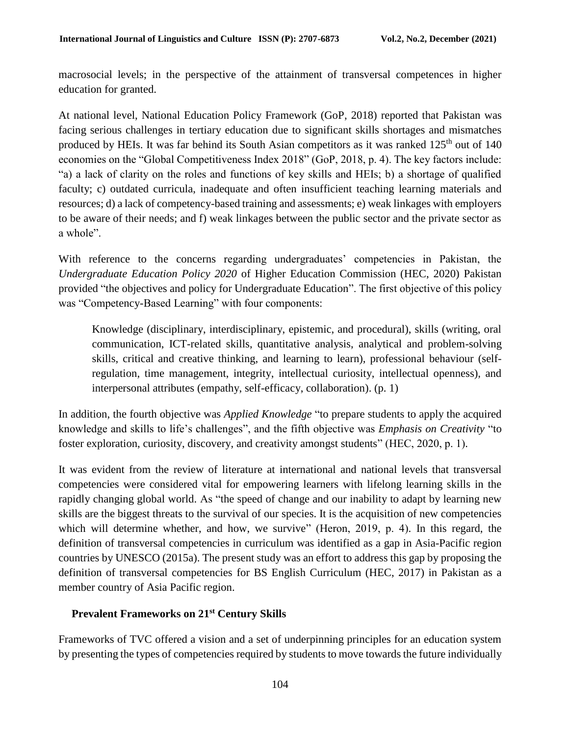macrosocial levels; in the perspective of the attainment of transversal competences in higher education for granted.

At national level, National Education Policy Framework (GoP, 2018) reported that Pakistan was facing serious challenges in tertiary education due to significant skills shortages and mismatches produced by HEIs. It was far behind its South Asian competitors as it was ranked  $125<sup>th</sup>$  out of 140 economies on the "Global Competitiveness Index 2018" (GoP, 2018, p. 4). The key factors include: "a) a lack of clarity on the roles and functions of key skills and HEIs; b) a shortage of qualified faculty; c) outdated curricula, inadequate and often insufficient teaching learning materials and resources; d) a lack of competency-based training and assessments; e) weak linkages with employers to be aware of their needs; and f) weak linkages between the public sector and the private sector as a whole".

With reference to the concerns regarding undergraduates' competencies in Pakistan, the *Undergraduate Education Policy 2020* of Higher Education Commission (HEC, 2020) Pakistan provided "the objectives and policy for Undergraduate Education". The first objective of this policy was "Competency-Based Learning" with four components:

Knowledge (disciplinary, interdisciplinary, epistemic, and procedural), skills (writing, oral communication, ICT-related skills, quantitative analysis, analytical and problem-solving skills, critical and creative thinking, and learning to learn), professional behaviour (selfregulation, time management, integrity, intellectual curiosity, intellectual openness), and interpersonal attributes (empathy, self-efficacy, collaboration). (p. 1)

In addition, the fourth objective was *Applied Knowledge* "to prepare students to apply the acquired knowledge and skills to life's challenges", and the fifth objective was *Emphasis on Creativity* "to foster exploration, curiosity, discovery, and creativity amongst students" (HEC, 2020, p. 1).

It was evident from the review of literature at international and national levels that transversal competencies were considered vital for empowering learners with lifelong learning skills in the rapidly changing global world. As "the speed of change and our inability to adapt by learning new skills are the biggest threats to the survival of our species. It is the acquisition of new competencies which will determine whether, and how, we survive" (Heron, 2019, p. 4). In this regard, the definition of transversal competencies in curriculum was identified as a gap in Asia-Pacific region countries by UNESCO (2015a). The present study was an effort to address this gap by proposing the definition of transversal competencies for BS English Curriculum (HEC, 2017) in Pakistan as a member country of Asia Pacific region.

### **Prevalent Frameworks on 21st Century Skills**

Frameworks of TVC offered a vision and a set of underpinning principles for an education system by presenting the types of competencies required by students to move towards the future individually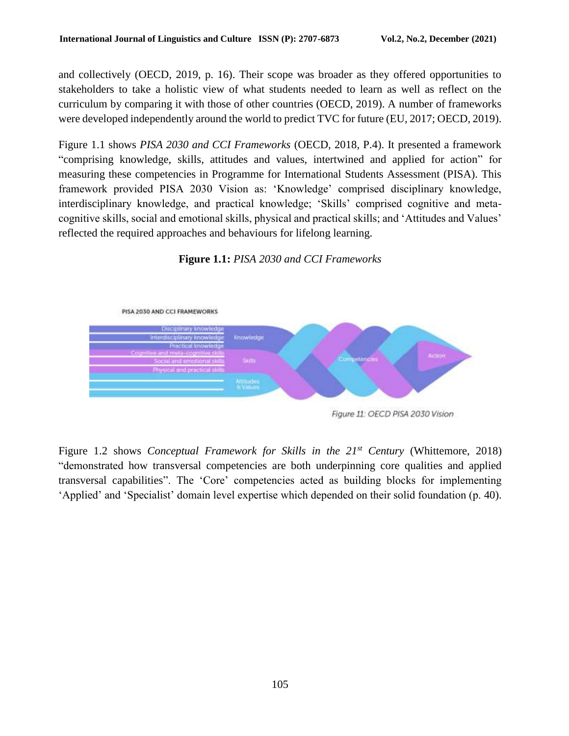and collectively (OECD, 2019, p. 16). Their scope was broader as they offered opportunities to stakeholders to take a holistic view of what students needed to learn as well as reflect on the curriculum by comparing it with those of other countries (OECD, 2019). A number of frameworks were developed independently around the world to predict TVC for future (EU, 2017; OECD, 2019).

Figure 1.1 shows *PISA 2030 and CCI Frameworks* (OECD, 2018, P.4). It presented a framework "comprising knowledge, skills, attitudes and values, intertwined and applied for action" for measuring these competencies in Programme for International Students Assessment (PISA). This framework provided PISA 2030 Vision as: 'Knowledge' comprised disciplinary knowledge, interdisciplinary knowledge, and practical knowledge; 'Skills' comprised cognitive and metacognitive skills, social and emotional skills, physical and practical skills; and 'Attitudes and Values' reflected the required approaches and behaviours for lifelong learning.

**Figure 1.1:** *PISA 2030 and CCI Frameworks*



Figure 1.2 shows *Conceptual Framework for Skills in the 21st Century* (Whittemore, 2018) "demonstrated how transversal competencies are both underpinning core qualities and applied transversal capabilities". The 'Core' competencies acted as building blocks for implementing 'Applied' and 'Specialist' domain level expertise which depended on their solid foundation (p. 40).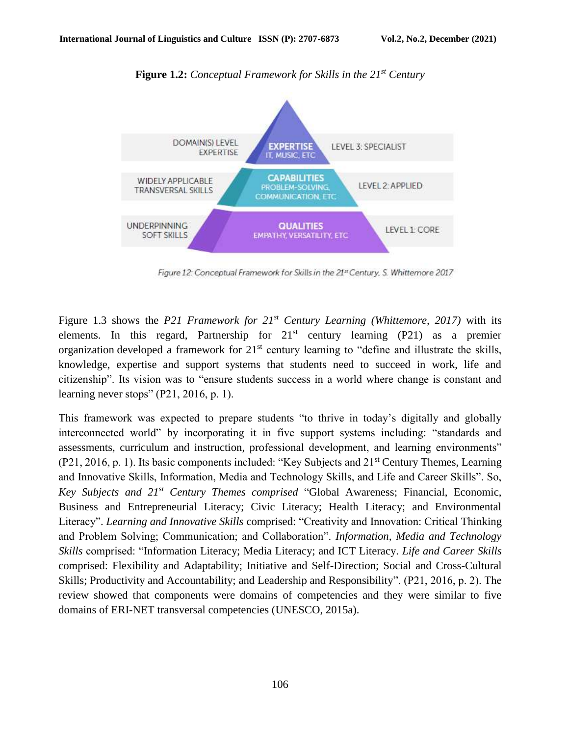

**Figure 1.2:** *Conceptual Framework for Skills in the 21st Century*

Figure 12: Conceptual Framework for Skills in the 21st Century, S. Whittemore 2017

Figure 1.3 shows the *P21 Framework for 21st Century Learning (Whittemore, 2017)* with its elements. In this regard, Partnership for  $21<sup>st</sup>$  century learning (P21) as a premier organization developed a framework for  $21<sup>st</sup>$  century learning to "define and illustrate the skills, knowledge, expertise and support systems that students need to succeed in work, life and citizenship". Its vision was to "ensure students success in a world where change is constant and learning never stops" (P21, 2016, p. 1).

This framework was expected to prepare students "to thrive in today's digitally and globally interconnected world" by incorporating it in five support systems including: "standards and assessments, curriculum and instruction, professional development, and learning environments" (P21, 2016, p. 1). Its basic components included: "Key Subjects and 21<sup>st</sup> Century Themes, Learning and Innovative Skills, Information, Media and Technology Skills, and Life and Career Skills". So, *Key Subjects and 21st Century Themes comprised* "Global Awareness; Financial, Economic, Business and Entrepreneurial Literacy; Civic Literacy; Health Literacy; and Environmental Literacy". *Learning and Innovative Skills* comprised: "Creativity and Innovation: Critical Thinking and Problem Solving; Communication; and Collaboration". *Information, Media and Technology Skills* comprised: "Information Literacy; Media Literacy; and ICT Literacy. *Life and Career Skills*  comprised: Flexibility and Adaptability; Initiative and Self-Direction; Social and Cross-Cultural Skills; Productivity and Accountability; and Leadership and Responsibility". (P21, 2016, p. 2). The review showed that components were domains of competencies and they were similar to five domains of ERI-NET transversal competencies (UNESCO, 2015a).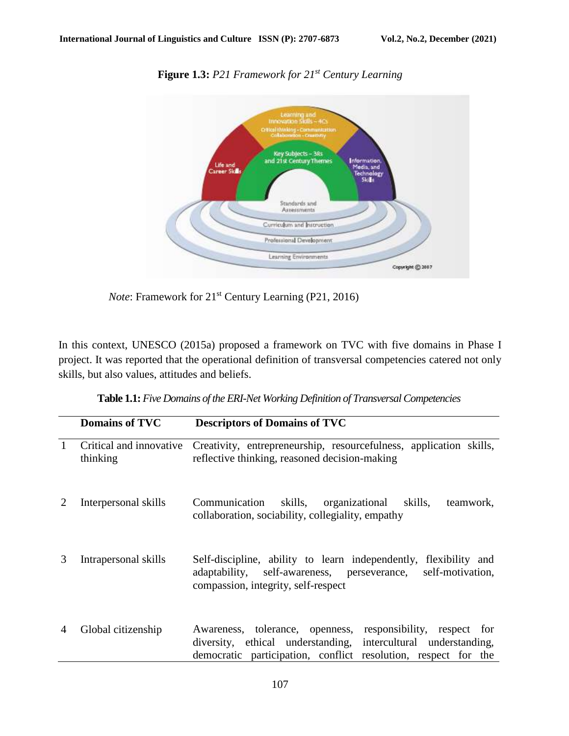

**Figure 1.3:** *P21 Framework for 21st Century Learning*

*Note*: Framework for 21<sup>st</sup> Century Learning (P21, 2016)

In this context, UNESCO (2015a) proposed a framework on TVC with five domains in Phase I project. It was reported that the operational definition of transversal competencies catered not only skills, but also values, attitudes and beliefs.

| Table 1.1: Five Domains of the ERI-Net Working Definition of Transversal Competencies |  |  |
|---------------------------------------------------------------------------------------|--|--|
|---------------------------------------------------------------------------------------|--|--|

|              | <b>Domains of TVC</b>               | <b>Descriptors of Domains of TVC</b>                                                                                                                                                               |
|--------------|-------------------------------------|----------------------------------------------------------------------------------------------------------------------------------------------------------------------------------------------------|
| $\mathbf{1}$ | Critical and innovative<br>thinking | Creativity, entrepreneurship, resourcefulness, application skills,<br>reflective thinking, reasoned decision-making                                                                                |
|              | Interpersonal skills                | Communication skills,<br>organizational<br>skills,<br>teamwork,<br>collaboration, sociability, collegiality, empathy                                                                               |
| 3            | Intrapersonal skills                | Self-discipline, ability to learn independently,<br>flexibility and<br>adaptability,<br>self-awareness, perseverance,<br>self-motivation,<br>compassion, integrity, self-respect                   |
| 4            | Global citizenship                  | responsibility, respect for<br>Awareness, tolerance, openness,<br>diversity, ethical understanding, intercultural understanding,<br>democratic participation, conflict resolution, respect for the |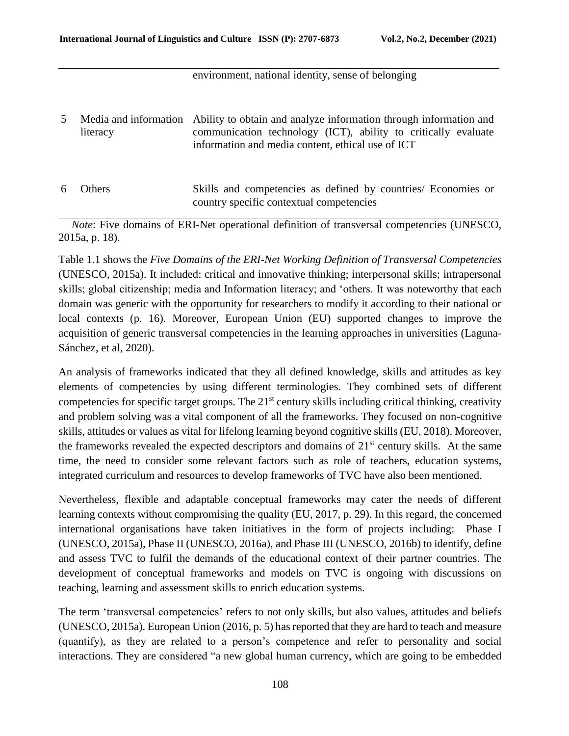#### environment, national identity, sense of belonging

| 5 <sup>1</sup> | literacy      | Media and information Ability to obtain and analyze information through information and<br>communication technology (ICT), ability to critically evaluate<br>information and media content, ethical use of ICT |
|----------------|---------------|----------------------------------------------------------------------------------------------------------------------------------------------------------------------------------------------------------------|
| 6              | <b>Others</b> | Skills and competencies as defined by countries/ Economies or<br>country specific contextual competencies                                                                                                      |

*Note*: Five domains of ERI-Net operational definition of transversal competencies (UNESCO, 2015a, p. 18).

Table 1.1 shows the *Five Domains of the ERI-Net Working Definition of Transversal Competencies*  (UNESCO, 2015a). It included: critical and innovative thinking; interpersonal skills; intrapersonal skills; global citizenship; media and Information literacy; and 'others. It was noteworthy that each domain was generic with the opportunity for researchers to modify it according to their national or local contexts (p. 16). Moreover, European Union (EU) supported changes to improve the acquisition of generic transversal competencies in the learning approaches in universities (Laguna-Sánchez, et al, 2020).

An analysis of frameworks indicated that they all defined knowledge, skills and attitudes as key elements of competencies by using different terminologies. They combined sets of different competencies for specific target groups. The 21<sup>st</sup> century skills including critical thinking, creativity and problem solving was a vital component of all the frameworks. They focused on non-cognitive skills, attitudes or values as vital for lifelong learning beyond cognitive skills (EU, 2018). Moreover, the frameworks revealed the expected descriptors and domains of  $21<sup>st</sup>$  century skills. At the same time, the need to consider some relevant factors such as role of teachers, education systems, integrated curriculum and resources to develop frameworks of TVC have also been mentioned.

Nevertheless, flexible and adaptable conceptual frameworks may cater the needs of different learning contexts without compromising the quality (EU, 2017, p. 29). In this regard, the concerned international organisations have taken initiatives in the form of projects including: Phase I (UNESCO, 2015a), Phase II (UNESCO, 2016a), and Phase III (UNESCO, 2016b) to identify, define and assess TVC to fulfil the demands of the educational context of their partner countries. The development of conceptual frameworks and models on TVC is ongoing with discussions on teaching, learning and assessment skills to enrich education systems.

The term 'transversal competencies' refers to not only skills, but also values, attitudes and beliefs (UNESCO, 2015a). European Union (2016, p. 5) has reported that they are hard to teach and measure (quantify), as they are related to a person's competence and refer to personality and social interactions. They are considered "a new global human currency, which are going to be embedded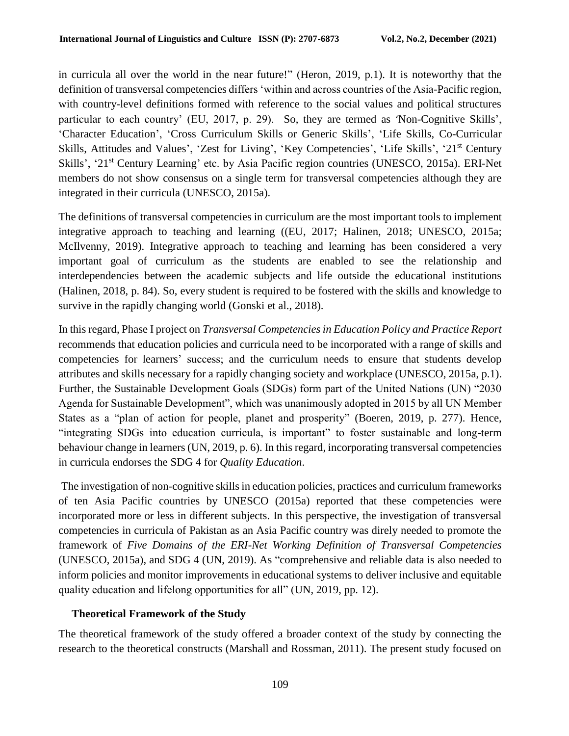in curricula all over the world in the near future!" (Heron, 2019, p.1). It is noteworthy that the definition of transversal competencies differs 'within and across countries of the Asia-Pacific region, with country-level definitions formed with reference to the social values and political structures particular to each country' (EU, 2017, p. 29). So, they are termed as 'Non-Cognitive Skills', 'Character Education', 'Cross Curriculum Skills or Generic Skills', 'Life Skills, Co-Curricular Skills, Attitudes and Values', 'Zest for Living', 'Key Competencies', 'Life Skills', '21<sup>st</sup> Century Skills', '21<sup>st</sup> Century Learning' etc. by Asia Pacific region countries (UNESCO, 2015a). ERI-Net members do not show consensus on a single term for transversal competencies although they are integrated in their curricula (UNESCO, 2015a).

The definitions of transversal competencies in curriculum are the most important tools to implement integrative approach to teaching and learning ((EU, 2017; Halinen, 2018; UNESCO, 2015a; McIlvenny, 2019). Integrative approach to teaching and learning has been considered a very important goal of curriculum as the students are enabled to see the relationship and interdependencies between the academic subjects and life outside the educational institutions (Halinen, 2018, p. 84). So, every student is required to be fostered with the skills and knowledge to survive in the rapidly changing world (Gonski et al., 2018).

In this regard, Phase I project on *Transversal Competencies in Education Policy and Practice Report* recommends that education policies and curricula need to be incorporated with a range of skills and competencies for learners' success; and the curriculum needs to ensure that students develop attributes and skills necessary for a rapidly changing society and workplace (UNESCO, 2015a, p.1). Further, the Sustainable Development Goals (SDGs) form part of the United Nations (UN) "2030 Agenda for Sustainable Development", which was unanimously adopted in 2015 by all UN Member States as a "plan of action for people, planet and prosperity" (Boeren, 2019, p. 277). Hence, "integrating SDGs into education curricula, is important" to foster sustainable and long-term behaviour change in learners (UN, 2019, p. 6). In this regard, incorporating transversal competencies in curricula endorses the SDG 4 for *Quality Education*.

The investigation of non-cognitive skills in education policies, practices and curriculum frameworks of ten Asia Pacific countries by UNESCO (2015a) reported that these competencies were incorporated more or less in different subjects. In this perspective, the investigation of transversal competencies in curricula of Pakistan as an Asia Pacific country was direly needed to promote the framework of *Five Domains of the ERI-Net Working Definition of Transversal Competencies* (UNESCO, 2015a), and SDG 4 (UN, 2019). As "comprehensive and reliable data is also needed to inform policies and monitor improvements in educational systems to deliver inclusive and equitable quality education and lifelong opportunities for all" (UN, 2019, pp. 12).

### **Theoretical Framework of the Study**

The theoretical framework of the study offered a broader context of the study by connecting the research to the theoretical constructs (Marshall and Rossman, 2011). The present study focused on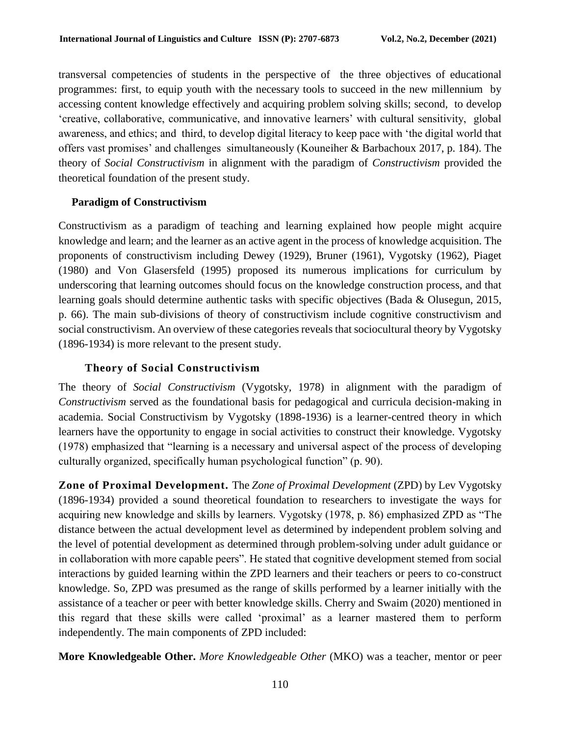transversal competencies of students in the perspective of the three objectives of educational programmes: first, to equip youth with the necessary tools to succeed in the new millennium by accessing content knowledge effectively and acquiring problem solving skills; second, to develop 'creative, collaborative, communicative, and innovative learners' with cultural sensitivity, global awareness, and ethics; and third, to develop digital literacy to keep pace with 'the digital world that offers vast promises' and challenges simultaneously (Kouneiher & Barbachoux 2017, p. 184). The theory of *Social Constructivism* in alignment with the paradigm of *Constructivism* provided the theoretical foundation of the present study.

### **Paradigm of Constructivism**

Constructivism as a paradigm of teaching and learning explained how people might acquire knowledge and learn; and the learner as an active agent in the process of knowledge acquisition. The proponents of constructivism including Dewey (1929), Bruner (1961), Vygotsky (1962), Piaget (1980) and Von Glasersfeld (1995) proposed its numerous implications for curriculum by underscoring that learning outcomes should focus on the knowledge construction process, and that learning goals should determine authentic tasks with specific objectives (Bada & Olusegun, 2015, p. 66). The main sub-divisions of theory of constructivism include cognitive constructivism and social constructivism. An overview of these categories reveals that sociocultural theory by Vygotsky (1896-1934) is more relevant to the present study.

## **Theory of Social Constructivism**

The theory of *Social Constructivism* (Vygotsky, 1978) in alignment with the paradigm of *Constructivism* served as the foundational basis for pedagogical and curricula decision-making in academia. Social Constructivism by Vygotsky (1898-1936) is a learner-centred theory in which learners have the opportunity to engage in social activities to construct their knowledge. Vygotsky (1978) emphasized that "learning is a necessary and universal aspect of the process of developing culturally organized, specifically human psychological function" (p. 90).

**Zone of Proximal Development.** The *Zone of Proximal Development* (ZPD) by Lev Vygotsky (1896-1934) provided a sound theoretical foundation to researchers to investigate the ways for acquiring new knowledge and skills by learners. Vygotsky (1978, p. 86) emphasized ZPD as "The distance between the actual development level as determined by independent problem solving and the level of potential development as determined through problem-solving under adult guidance or in collaboration with more capable peers". He stated that cognitive development stemed from social interactions by guided learning within the ZPD learners and their teachers or peers to co-construct knowledge. So, ZPD was presumed as the range of skills performed by a learner initially with the assistance of a teacher or peer with better knowledge skills. Cherry and Swaim (2020) mentioned in this regard that these skills were called 'proximal' as a learner mastered them to perform independently. The main components of ZPD included:

**More Knowledgeable Other.** *More Knowledgeable Other* (MKO) was a teacher, mentor or peer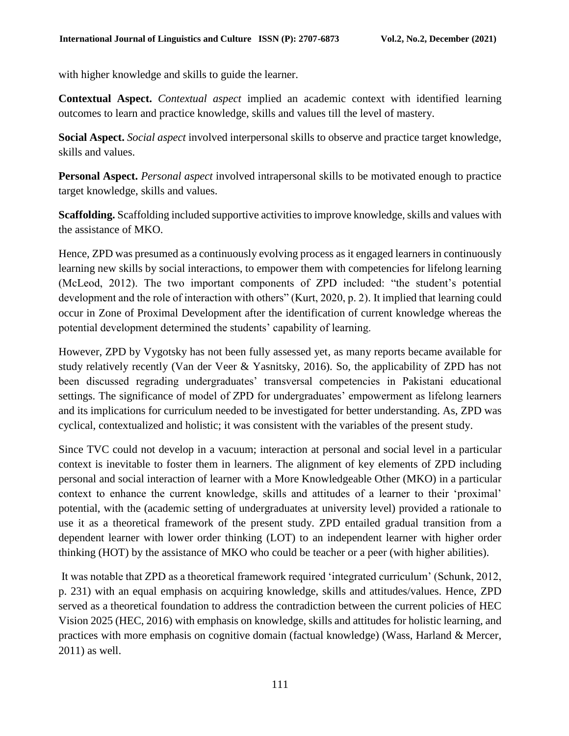with higher knowledge and skills to guide the learner.

**Contextual Aspect.** *Contextual aspect* implied an academic context with identified learning outcomes to learn and practice knowledge, skills and values till the level of mastery.

**Social Aspect.** *Social aspect* involved interpersonal skills to observe and practice target knowledge, skills and values.

**Personal Aspect.** *Personal aspect* involved intrapersonal skills to be motivated enough to practice target knowledge, skills and values.

**Scaffolding.** Scaffolding included supportive activities to improve knowledge, skills and values with the assistance of MKO.

Hence, ZPD was presumed as a continuously evolving process as it engaged learners in continuously learning new skills by social interactions, to empower them with competencies for lifelong learning (McLeod, 2012). The two important components of ZPD included: "the student's potential development and the role of interaction with others" (Kurt, 2020, p. 2). It implied that learning could occur in Zone of Proximal Development after the identification of current knowledge whereas the potential development determined the students' capability of learning.

However, ZPD by Vygotsky has not been fully assessed yet, as many reports became available for study relatively recently (Van der Veer & Yasnitsky, 2016). So, the applicability of ZPD has not been discussed regrading undergraduates' transversal competencies in Pakistani educational settings. The significance of model of ZPD for undergraduates' empowerment as lifelong learners and its implications for curriculum needed to be investigated for better understanding. As, ZPD was cyclical, contextualized and holistic; it was consistent with the variables of the present study.

Since TVC could not develop in a vacuum; interaction at personal and social level in a particular context is inevitable to foster them in learners. The alignment of key elements of ZPD including personal and social interaction of learner with a More Knowledgeable Other (MKO) in a particular context to enhance the current knowledge, skills and attitudes of a learner to their 'proximal' potential, with the (academic setting of undergraduates at university level) provided a rationale to use it as a theoretical framework of the present study. ZPD entailed gradual transition from a dependent learner with lower order thinking (LOT) to an independent learner with higher order thinking (HOT) by the assistance of MKO who could be teacher or a peer (with higher abilities).

It was notable that ZPD as a theoretical framework required 'integrated curriculum' (Schunk, 2012, p. 231) with an equal emphasis on acquiring knowledge, skills and attitudes/values. Hence, ZPD served as a theoretical foundation to address the contradiction between the current policies of HEC Vision 2025 (HEC, 2016) with emphasis on knowledge, skills and attitudes for holistic learning, and practices with more emphasis on cognitive domain (factual knowledge) (Wass, Harland & Mercer, 2011) as well.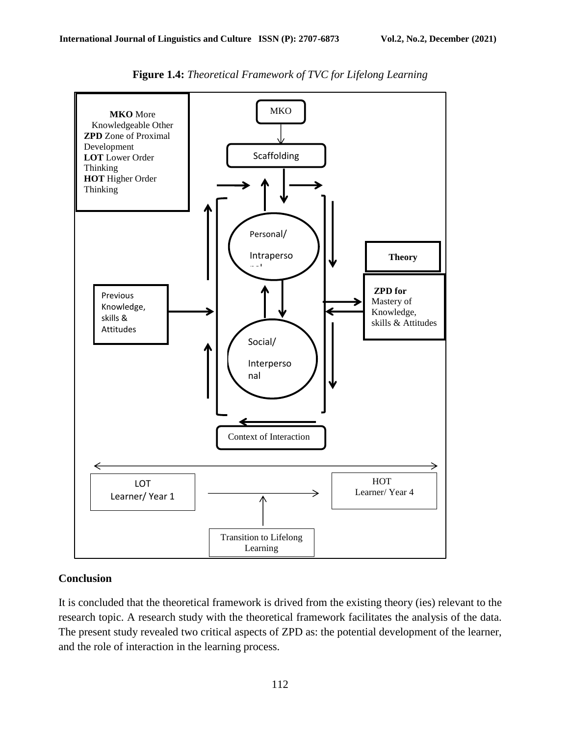

**Figure 1.4:** *Theoretical Framework of TVC for Lifelong Learning*

### **Conclusion**

It is concluded that the theoretical framework is drived from the existing theory (ies) relevant to the research topic. A research study with the theoretical framework facilitates the analysis of the data. The present study revealed two critical aspects of ZPD as: the potential development of the learner, and the role of interaction in the learning process.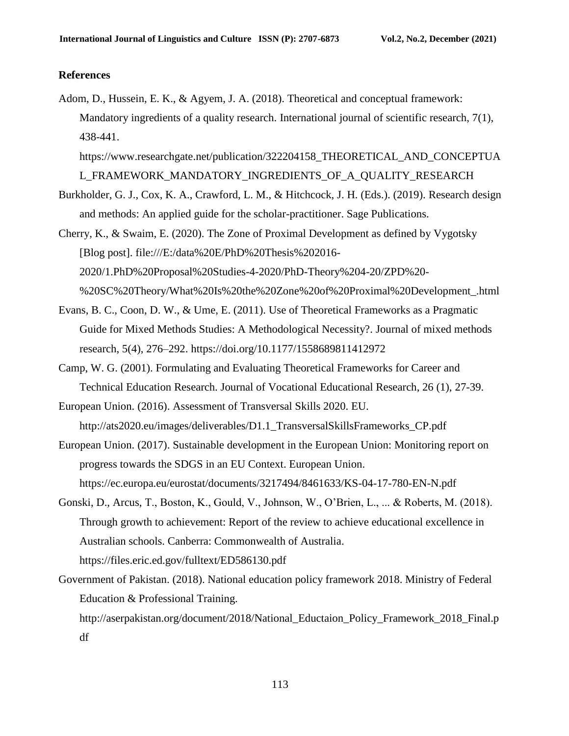#### **References**

Adom, D., Hussein, E. K., & Agyem, J. A. (2018). Theoretical and conceptual framework: Mandatory ingredients of a quality research. International journal of scientific research, 7(1), 438-441.

[https://www.researchgate.net/publication/322204158\\_THEORETICAL\\_AND\\_CONCEPTUA](https://www.researchgate.net/publication/322204158_THEORETICAL_AND_CONCEPTUAL_FRAMEWORK_MANDATORY_INGREDIENTS_OF_A_QUALITY_RESEARCH) [L\\_FRAMEWORK\\_MANDATORY\\_INGREDIENTS\\_OF\\_A\\_QUALITY\\_RESEARCH](https://www.researchgate.net/publication/322204158_THEORETICAL_AND_CONCEPTUAL_FRAMEWORK_MANDATORY_INGREDIENTS_OF_A_QUALITY_RESEARCH)

- Burkholder, G. J., Cox, K. A., Crawford, L. M., & Hitchcock, J. H. (Eds.). (2019). Research design and methods: An applied guide for the scholar-practitioner. Sage Publications.
- Cherry, K., & Swaim, E. (2020). The Zone of Proximal Development as defined by Vygotsky [Blog post]. [file:///E:/data%20E/PhD%20Thesis%202016-](file:///E:/data%20E/PhD%20Thesis%202016-2020/1.PhD%20Proposal%20Studies-4-2020/PhD-Theory%204-20/ZPD%20-%20SC%20Theory/What%20Is%20the%20Zone%20of%20Proximal%20Development_.html) [2020/1.PhD%20Proposal%20Studies-4-2020/PhD-Theory%204-20/ZPD%20-](file:///E:/data%20E/PhD%20Thesis%202016-2020/1.PhD%20Proposal%20Studies-4-2020/PhD-Theory%204-20/ZPD%20-%20SC%20Theory/What%20Is%20the%20Zone%20of%20Proximal%20Development_.html) [%20SC%20Theory/What%20Is%20the%20Zone%20of%20Proximal%20Development\\_.html](file:///E:/data%20E/PhD%20Thesis%202016-2020/1.PhD%20Proposal%20Studies-4-2020/PhD-Theory%204-20/ZPD%20-%20SC%20Theory/What%20Is%20the%20Zone%20of%20Proximal%20Development_.html)
- Evans, B. C., Coon, D. W., & Ume, E. (2011). Use of Theoretical Frameworks as a Pragmatic Guide for Mixed Methods Studies: A Methodological Necessity?. Journal of mixed methods research, 5(4), 276–292.<https://doi.org/10.1177/1558689811412972>
- Camp, W. G. (2001). Formulating and Evaluating Theoretical Frameworks for Career and Technical Education Research. Journal of Vocational Educational Research, 26 (1), 27-39.
- European Union. (2016). Assessment of Transversal Skills 2020. EU. [http://ats2020.eu/images/deliverables/D1.1\\_TransversalSkillsFrameworks\\_CP.pdf](http://ats2020.eu/images/deliverables/D1.1_TransversalSkillsFrameworks_CP.pdf)
- European Union. (2017). Sustainable development in the European Union: Monitoring report on progress towards the SDGS in an EU Context. European Union. <https://ec.europa.eu/eurostat/documents/3217494/8461633/KS-04-17-780-EN-N.pdf>
- Gonski, D., Arcus, T., Boston, K., Gould, V., Johnson, W., O'Brien, L., ... & Roberts, M. (2018). Through growth to achievement: Report of the review to achieve educational excellence in Australian schools. Canberra: Commonwealth of Australia. <https://files.eric.ed.gov/fulltext/ED586130.pdf>
- Government of Pakistan. (2018). National education policy framework 2018. Ministry of Federal Education & Professional Training. [http://aserpakistan.org/document/2018/National\\_Eductaion\\_Policy\\_Framework\\_2018\\_Final.p](http://aserpakistan.org/document/2018/National_Eductaion_Policy_Framework_2018_Final.pdf) [df](http://aserpakistan.org/document/2018/National_Eductaion_Policy_Framework_2018_Final.pdf)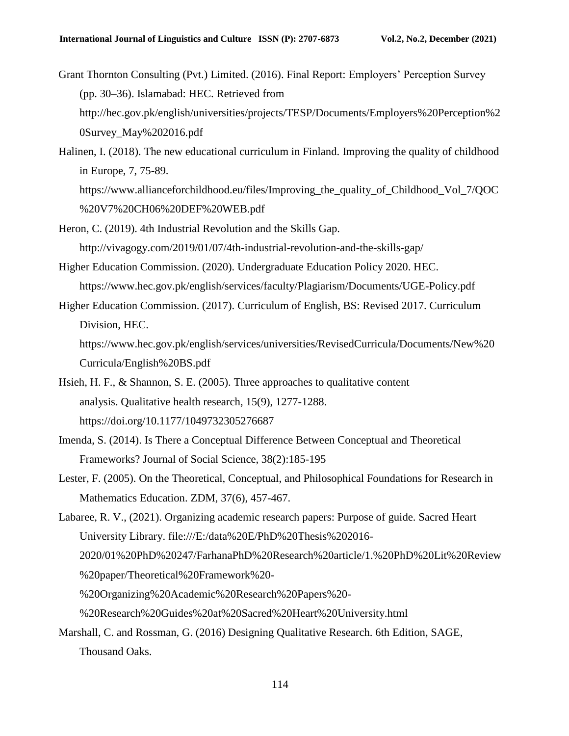Grant Thornton Consulting (Pvt.) Limited. (2016). Final Report: Employers' Perception Survey (pp. 30–36). Islamabad: HEC. Retrieved from [http://hec.gov.pk/english/universities/projects/TESP/Documents/Employers%20Perception%2](http://hec.gov.pk/english/universities/projects/TESP/Documents/Employers%20Perception%20Survey_May%202016.pdf) [0Survey\\_May%202016.pdf](http://hec.gov.pk/english/universities/projects/TESP/Documents/Employers%20Perception%20Survey_May%202016.pdf)

Halinen, I. (2018). The new educational curriculum in Finland. Improving the quality of childhood in Europe, 7, 75-89.

[https://www.allianceforchildhood.eu/files/Improving\\_the\\_quality\\_of\\_Childhood\\_Vol\\_7/QOC](https://www.allianceforchildhood.eu/files/Improving_the_quality_of_Childhood_Vol_7/QOC%20V7%20CH06%20DEF%20WEB.pdf) [%20V7%20CH06%20DEF%20WEB.pdf](https://www.allianceforchildhood.eu/files/Improving_the_quality_of_Childhood_Vol_7/QOC%20V7%20CH06%20DEF%20WEB.pdf)

- Heron, C. (2019). 4th Industrial Revolution and the Skills Gap. <http://vivagogy.com/2019/01/07/4th-industrial-revolution-and-the-skills-gap/>
- Higher Education Commission. (2020). Undergraduate Education Policy 2020. HEC. <https://www.hec.gov.pk/english/services/faculty/Plagiarism/Documents/UGE-Policy.pdf>
- Higher Education Commission. (2017). Curriculum of English, BS: Revised 2017. Curriculum Division, HEC.

[https://www.hec.gov.pk/english/services/universities/RevisedCurricula/Documents/New%20](https://www.hec.gov.pk/english/services/universities/RevisedCurricula/Documents/New%20Curricula/English%20BS.pdf) [Curricula/English%20BS.pdf](https://www.hec.gov.pk/english/services/universities/RevisedCurricula/Documents/New%20Curricula/English%20BS.pdf)

- Hsieh, H. F., & Shannon, S. E. (2005). Three approaches to qualitative content analysis. Qualitative health research, 15(9), 1277-1288. [https://doi.org/10.1177/1049732305276687](https://doi.org/10.1177%2F1049732305276687)
- Imenda, S. (2014). Is There a Conceptual Difference Between Conceptual and Theoretical Frameworks? Journal of Social Science, 38(2):185-195
- Lester, F. (2005). On the Theoretical, Conceptual, and Philosophical Foundations for Research in Mathematics Education. ZDM, 37(6), 457-467.

Labaree, R. V., (2021). Organizing academic research papers: Purpose of guide. Sacred Heart University Library. [file:///E:/data%20E/PhD%20Thesis%202016-](file:///E:/data%20E/PhD%20Thesis%202016-2020/01%20PhD%20247/FarhanaPhD%20Research%20article/1.%20PhD%20Lit%20Review%20paper/Theoretical%20Framework%20-%20Organizing%20Academic%20Research%20Papers%20-%20Research%20Guides%20at%20Sacred%20Heart%20University.html) [2020/01%20PhD%20247/FarhanaPhD%20Research%20article/1.%20PhD%20Lit%20Review](file:///E:/data%20E/PhD%20Thesis%202016-2020/01%20PhD%20247/FarhanaPhD%20Research%20article/1.%20PhD%20Lit%20Review%20paper/Theoretical%20Framework%20-%20Organizing%20Academic%20Research%20Papers%20-%20Research%20Guides%20at%20Sacred%20Heart%20University.html) [%20paper/Theoretical%20Framework%20-](file:///E:/data%20E/PhD%20Thesis%202016-2020/01%20PhD%20247/FarhanaPhD%20Research%20article/1.%20PhD%20Lit%20Review%20paper/Theoretical%20Framework%20-%20Organizing%20Academic%20Research%20Papers%20-%20Research%20Guides%20at%20Sacred%20Heart%20University.html) [%20Organizing%20Academic%20Research%20Papers%20-](file:///E:/data%20E/PhD%20Thesis%202016-2020/01%20PhD%20247/FarhanaPhD%20Research%20article/1.%20PhD%20Lit%20Review%20paper/Theoretical%20Framework%20-%20Organizing%20Academic%20Research%20Papers%20-%20Research%20Guides%20at%20Sacred%20Heart%20University.html) [%20Research%20Guides%20at%20Sacred%20Heart%20University.html](file:///E:/data%20E/PhD%20Thesis%202016-2020/01%20PhD%20247/FarhanaPhD%20Research%20article/1.%20PhD%20Lit%20Review%20paper/Theoretical%20Framework%20-%20Organizing%20Academic%20Research%20Papers%20-%20Research%20Guides%20at%20Sacred%20Heart%20University.html)

Marshall, C. and Rossman, G. (2016) Designing Qualitative Research. 6th Edition, SAGE, Thousand Oaks.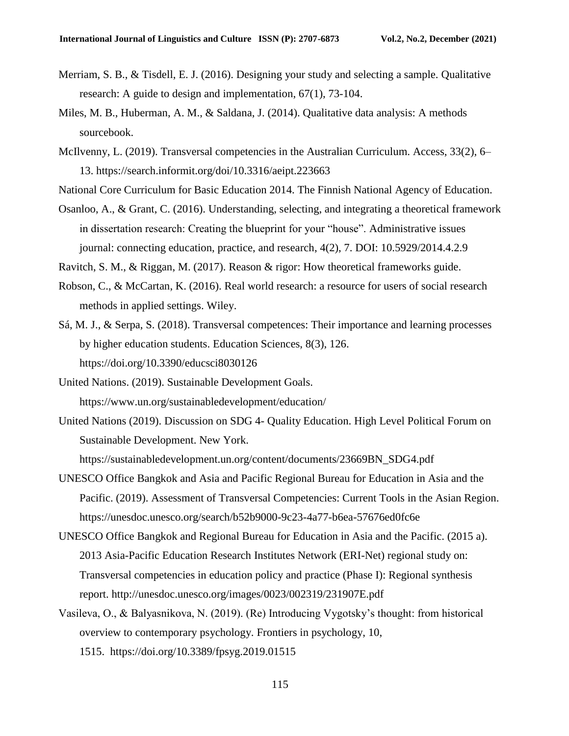- Merriam, S. B., & Tisdell, E. J. (2016). Designing your study and selecting a sample. Qualitative research: A guide to design and implementation, 67(1), 73-104.
- Miles, M. B., Huberman, A. M., & Saldana, J. (2014). Qualitative data analysis: A methods sourcebook.
- McIlvenny, L. (2019). Transversal competencies in the Australian Curriculum. Access, 33(2), 6– 13.<https://search.informit.org/doi/10.3316/aeipt.223663>
- National Core Curriculum for Basic Education 2014. The Finnish National Agency of Education.
- Osanloo, A., & Grant, C. (2016). Understanding, selecting, and integrating a theoretical framework in dissertation research: Creating the blueprint for your "house". Administrative issues journal: connecting education, practice, and research, 4(2), 7. DOI: 10.5929/2014.4.2.9

Ravitch, S. M., & Riggan, M. (2017). Reason & rigor: How theoretical frameworks guide.

- Robson, C., & McCartan, K. (2016). Real world research: a resource for users of social research methods in applied settings. Wiley.
- Sá, M. J., & Serpa, S. (2018). Transversal competences: Their importance and learning processes by higher education students. Education Sciences, 8(3), 126. <https://doi.org/10.3390/educsci8030126>
- United Nations. (2019). Sustainable Development Goals. <https://www.un.org/sustainabledevelopment/education/>
- United Nations (2019). Discussion on SDG 4- Quality Education. High Level Political Forum on Sustainable Development. New York.

[https://sustainabledevelopment.un.org/content/documents/23669BN\\_SDG4.pdf](https://sustainabledevelopment.un.org/content/documents/23669BN_SDG4.pdf)

- UNESCO Office Bangkok and Asia and Pacific Regional Bureau for Education in Asia and the Pacific. (2019). Assessment of Transversal Competencies: Current Tools in the Asian Region. <https://unesdoc.unesco.org/search/b52b9000-9c23-4a77-b6ea-57676ed0fc6e>
- UNESCO Office Bangkok and Regional Bureau for Education in Asia and the Pacific. (2015 a). 2013 Asia-Pacific Education Research Institutes Network (ERI-Net) regional study on: Transversal competencies in education policy and practice (Phase I): Regional synthesis report.<http://unesdoc.unesco.org/images/0023/002319/231907E.pdf>
- Vasileva, O., & Balyasnikova, N. (2019). (Re) Introducing Vygotsky's thought: from historical overview to contemporary psychology. Frontiers in psychology, 10, 1515. <https://doi.org/10.3389/fpsyg.2019.01515>